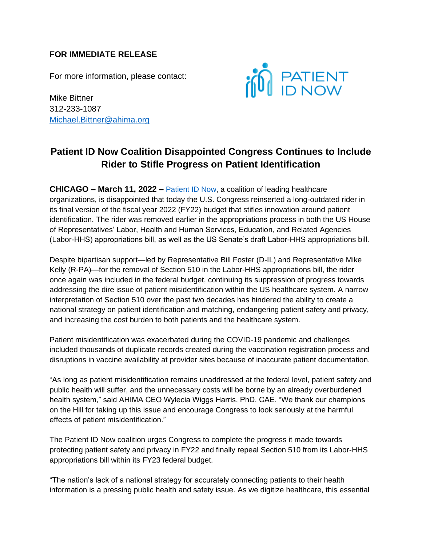## **FOR IMMEDIATE RELEASE**

For more information, please contact:

Mike Bittner 312-233-1087 [Michael.Bittner@ahima.org](mailto:Michael.Bittner@ahima.org)



## **Patient ID Now Coalition Disappointed Congress Continues to Include Rider to Stifle Progress on Patient Identification**

**CHICAGO – March 11, 2022 –** [Patient ID Now,](https://patientidnow.org/) a coalition of leading healthcare organizations, is disappointed that today the U.S. Congress reinserted a long-outdated rider in its final version of the fiscal year 2022 (FY22) budget that stifles innovation around patient identification. The rider was removed earlier in the appropriations process in both the US House of Representatives' Labor, Health and Human Services, Education, and Related Agencies (Labor-HHS) appropriations bill, as well as the US Senate's draft Labor-HHS appropriations bill.

Despite bipartisan support—led by Representative Bill Foster (D-IL) and Representative Mike Kelly (R-PA)—for the removal of Section 510 in the Labor-HHS appropriations bill, the rider once again was included in the federal budget, continuing its suppression of progress towards addressing the dire issue of patient misidentification within the US healthcare system. A narrow interpretation of Section 510 over the past two decades has hindered the ability to create a national strategy on patient identification and matching, endangering patient safety and privacy, and increasing the cost burden to both patients and the healthcare system.

Patient misidentification was exacerbated during the COVID-19 pandemic and challenges included thousands of duplicate records created during the vaccination registration process and disruptions in vaccine availability at provider sites because of inaccurate patient documentation.

"As long as patient misidentification remains unaddressed at the federal level, patient safety and public health will suffer, and the unnecessary costs will be borne by an already overburdened health system," said AHIMA CEO Wylecia Wiggs Harris, PhD, CAE. "We thank our champions on the Hill for taking up this issue and encourage Congress to look seriously at the harmful effects of patient misidentification."

The Patient ID Now coalition urges Congress to complete the progress it made towards protecting patient safety and privacy in FY22 and finally repeal Section 510 from its Labor-HHS appropriations bill within its FY23 federal budget.

"The nation's lack of a national strategy for accurately connecting patients to their health information is a pressing public health and safety issue. As we digitize healthcare, this essential